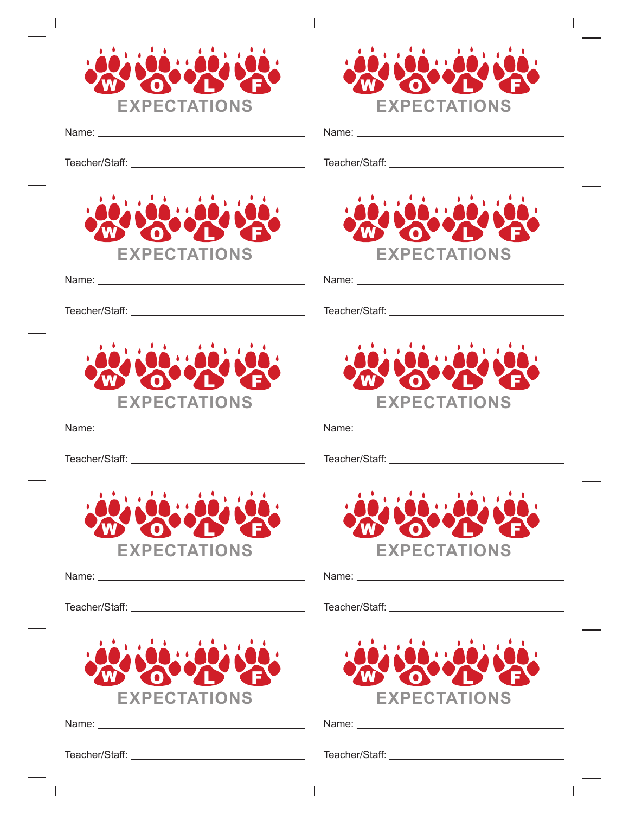



 $\overline{1}$ 

Name:

 $\overline{1}$ 

Teacher/Staff:



Name:

Teacher/Staff:



Name: Name: Name: Name: Name: Name: Name: Name: Name: Name: Name: Name: Name: Name: Name: Name: Name: Name: Name: Name: Name: Name: Name: Name: Name: Name: Name: Name: Name: Name: Name: Name: Name: Name: Name: Name: Name:

Teacher/Staff:



Name: \_\_\_\_\_

Teacher/Staff:



Name: when the contract of the contract of the contract of the contract of the contract of the contract of the contract of the contract of the contract of the contract of the contract of the contract of the contract of the

I

Teacher/Staff:

Teacher/Staff:

Name:

 $\overline{1}$ 



Name:

Teacher/Staff:



Name: Name: Name: Name: Name: Name: Name: Name: Name: Name: Name: Name: Name: Name: Name: Name: Name: Name: Name: Name: Name: Name: Name: Name: Name: Name: Name: Name: Name: Name: Name: Name: Name: Name: Name: Name: Name:

Teacher/Staff:



Name:

Teacher/Staff:



Name:

Teacher/Staff:

 $\overline{1}$